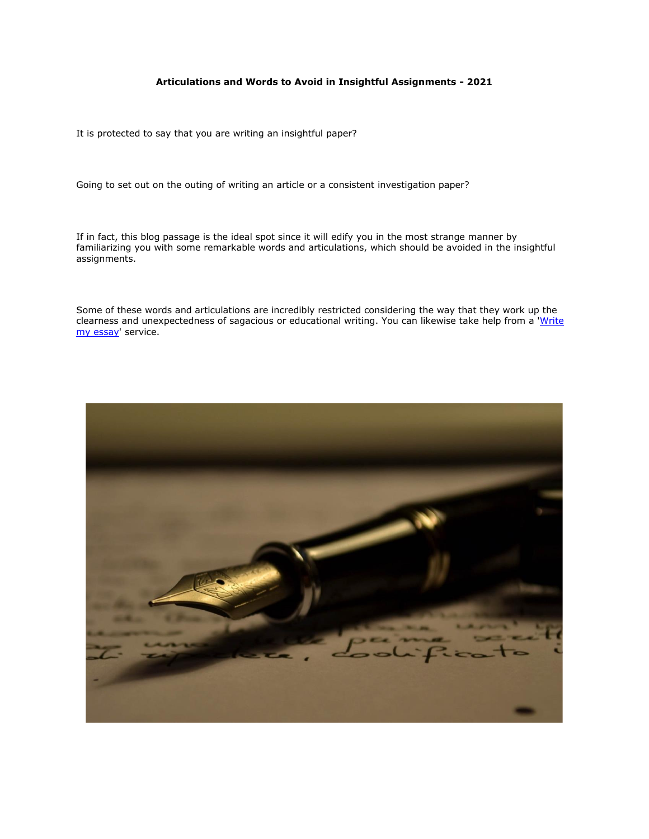# **Articulations and Words to Avoid in Insightful Assignments - 2021**

It is protected to say that you are writing an insightful paper?

Going to set out on the outing of writing an article or a consistent investigation paper?

If in fact, this blog passage is the ideal spot since it will edify you in the most strange manner by familiarizing you with some remarkable words and articulations, which should be avoided in the insightful assignments.

Some of these words and articulations are incredibly restricted considering the way that they work up the clearness and unexpectedness of sagacious or educational writing. You can likewise take help from a 'Write [my essay'](https://www.5staressays.com/) service.

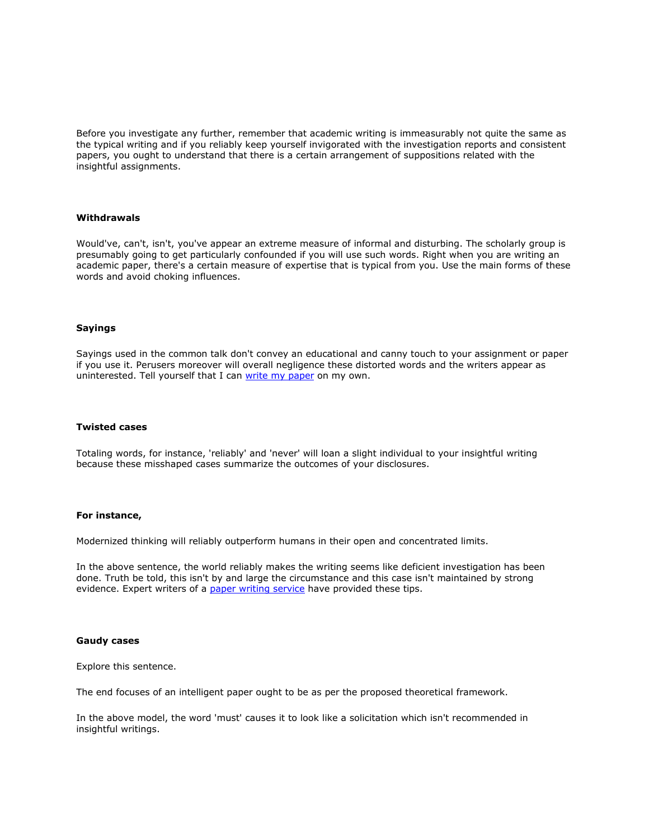Before you investigate any further, remember that academic writing is immeasurably not quite the same as the typical writing and if you reliably keep yourself invigorated with the investigation reports and consistent papers, you ought to understand that there is a certain arrangement of suppositions related with the insightful assignments.

# **Withdrawals**

Would've, can't, isn't, you've appear an extreme measure of informal and disturbing. The scholarly group is presumably going to get particularly confounded if you will use such words. Right when you are writing an academic paper, there's a certain measure of expertise that is typical from you. Use the main forms of these words and avoid choking influences.

# **Sayings**

Sayings used in the common talk don't convey an educational and canny touch to your assignment or paper if you use it. Perusers moreover will overall negligence these distorted words and the writers appear as uninterested. Tell yourself that I can [write my paper](https://www.collegeessay.org/) on my own.

# **Twisted cases**

Totaling words, for instance, 'reliably' and 'never' will loan a slight individual to your insightful writing because these misshaped cases summarize the outcomes of your disclosures.

# **For instance,**

Modernized thinking will reliably outperform humans in their open and concentrated limits.

In the above sentence, the world reliably makes the writing seems like deficient investigation has been done. Truth be told, this isn't by and large the circumstance and this case isn't maintained by strong evidence. Expert writers of a [paper writing service](https://www.myperfectpaper.net/) have provided these tips.

#### **Gaudy cases**

Explore this sentence.

The end focuses of an intelligent paper ought to be as per the proposed theoretical framework.

In the above model, the word 'must' causes it to look like a solicitation which isn't recommended in insightful writings.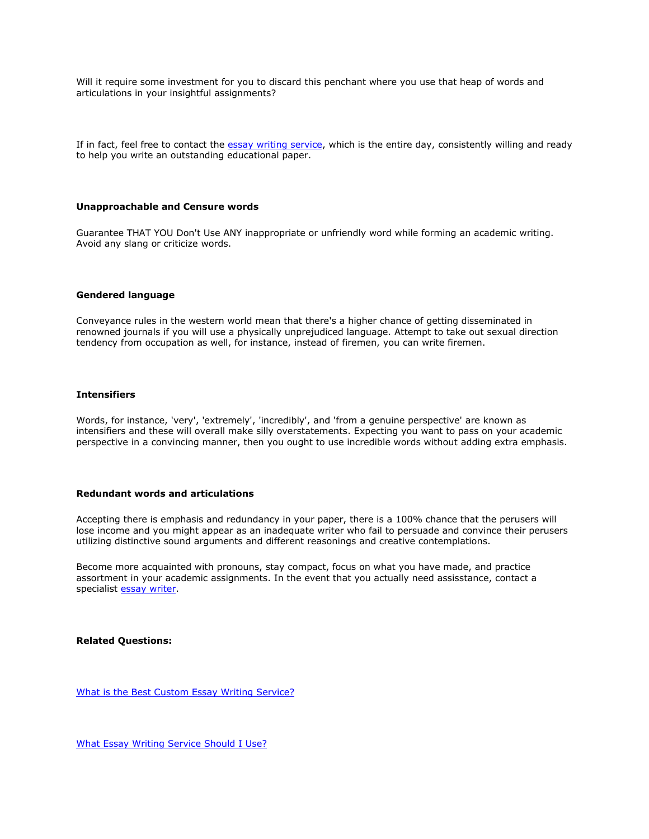Will it require some investment for you to discard this penchant where you use that heap of words and articulations in your insightful assignments?

If in fact, feel free to contact the [essay writing service,](https://www.myperfectwords.com/) which is the entire day, consistently willing and ready to help you write an outstanding educational paper.

# **Unapproachable and Censure words**

Guarantee THAT YOU Don't Use ANY inappropriate or unfriendly word while forming an academic writing. Avoid any slang or criticize words.

# **Gendered language**

Conveyance rules in the western world mean that there's a higher chance of getting disseminated in renowned journals if you will use a physically unprejudiced language. Attempt to take out sexual direction tendency from occupation as well, for instance, instead of firemen, you can write firemen.

## **Intensifiers**

Words, for instance, 'very', 'extremely', 'incredibly', and 'from a genuine perspective' are known as intensifiers and these will overall make silly overstatements. Expecting you want to pass on your academic perspective in a convincing manner, then you ought to use incredible words without adding extra emphasis.

# **Redundant words and articulations**

Accepting there is emphasis and redundancy in your paper, there is a 100% chance that the perusers will lose income and you might appear as an inadequate writer who fail to persuade and convince their perusers utilizing distinctive sound arguments and different reasonings and creative contemplations.

Become more acquainted with pronouns, stay compact, focus on what you have made, and practice assortment in your academic assignments. In the event that you actually need assisstance, contact a specialist [essay writer.](https://www.freeessaywriter.net/)

**Related Questions:**

[What is the Best Custom Essay Writing Service?](https://www.myperfectpaper.net/essay-writing-service/what-is-the-best-custom-essay-writing-service)

[What Essay Writing Service Should I Use?](https://www.myperfectpaper.net/essay-writing-service/what-essay-writing-service-should-I-use)